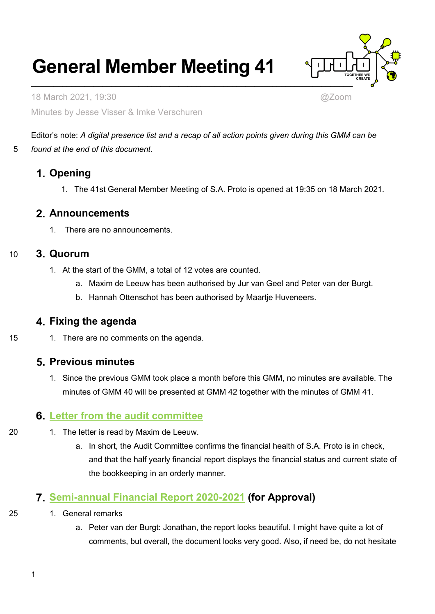# **General Member Meeting 41**



18 March 2021, 19:30 @Zoom Minutes by Jesse Visser & Imke Verschuren

Editor's note: *A digital presence list and a recap of all action points given during this GMM can be*  5 *found at the end of this document.*

# **Opening**

1. The 41st General Member Meeting of S.A. Proto is opened at 19:35 on 18 March 2021.

## **Announcements**

1. There are no announcements.

## 10 **Quorum**

- 1. At the start of the GMM, a total of 12 votes are counted.
	- a. Maxim de Leeuw has been authorised by Jur van Geel and Peter van der Burgt.
	- b. Hannah Ottenschot has been authorised by Maartje Huveneers.

## **Fixing the agenda**

15 1. There are no comments on the agenda.

# **Previous minutes**

1. Since the previous GMM took place a month before this GMM, no minutes are available. The minutes of GMM 40 will be presented at GMM 42 together with the minutes of GMM 41.

# **[Letter from the audit committee](https://wiki.proto.utwente.nl/_media/proto/gmmdocs/2020-03-15_s.a._proto_letter_from_the_audit_committee_1_.pdf)**

- 20 1. The letter is read by Maxim de Leeuw.
	- a. In short, the Audit Committee confirms the financial health of S.A. Proto is in check, and that the half yearly financial report displays the financial status and current state of the bookkeeping in an orderly manner.

# **[Semi-annual Financial Report 2020-2021](https://wiki.proto.utwente.nl/_media/proto/gmmdocs/halfyearly_financial_report_2020-2021.pdf) (for Approval)**

- 25 1. General remarks
	- a. Peter van der Burgt: Jonathan, the report looks beautiful. I might have quite a lot of comments, but overall, the document looks very good. Also, if need be, do not hesitate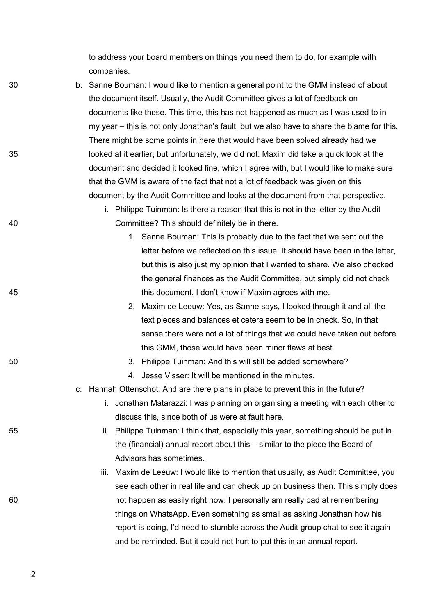to address your board members on things you need them to do, for example with companies.

- 30 b. Sanne Bouman: I would like to mention a general point to the GMM instead of about the document itself. Usually, the Audit Committee gives a lot of feedback on documents like these. This time, this has not happened as much as I was used to in my year – this is not only Jonathan's fault, but we also have to share the blame for this. There might be some points in here that would have been solved already had we 35 looked at it earlier, but unfortunately, we did not. Maxim did take a quick look at the document and decided it looked fine, which I agree with, but I would like to make sure that the GMM is aware of the fact that not a lot of feedback was given on this document by the Audit Committee and looks at the document from that perspective.
- 
- 

- 
- 

- i. Philippe Tuinman: Is there a reason that this is not in the letter by the Audit 40 Committee? This should definitely be in there.
- 1. Sanne Bouman: This is probably due to the fact that we sent out the letter before we reflected on this issue. It should have been in the letter, but this is also just my opinion that I wanted to share. We also checked the general finances as the Audit Committee, but simply did not check 45 this document. I don't know if Maxim agrees with me.
	- 2. Maxim de Leeuw: Yes, as Sanne says, I looked through it and all the text pieces and balances et cetera seem to be in check. So, in that sense there were not a lot of things that we could have taken out before this GMM, those would have been minor flaws at best.
- 50 3. Philippe Tuinman: And this will still be added somewhere?
	- 4. Jesse Visser: It will be mentioned in the minutes.
	- c. Hannah Ottenschot: And are there plans in place to prevent this in the future?
		- i. Jonathan Matarazzi: I was planning on organising a meeting with each other to discuss this, since both of us were at fault here.
- 55 ii. Philippe Tuinman: I think that, especially this year, something should be put in the (financial) annual report about this – similar to the piece the Board of Advisors has sometimes.
- iii. Maxim de Leeuw: I would like to mention that usually, as Audit Committee, you see each other in real life and can check up on business then. This simply does 60 not happen as easily right now. I personally am really bad at remembering things on WhatsApp. Even something as small as asking Jonathan how his report is doing, I'd need to stumble across the Audit group chat to see it again and be reminded. But it could not hurt to put this in an annual report.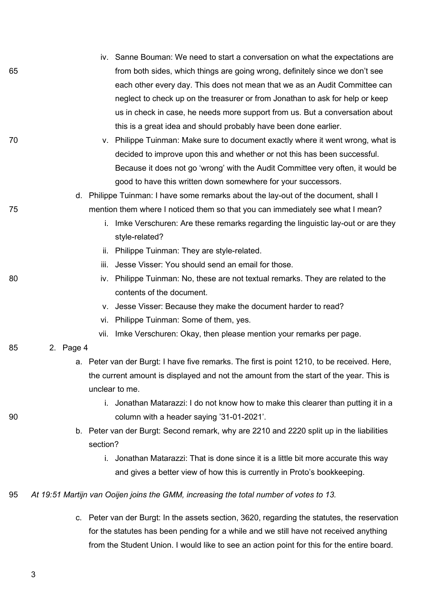|    |           | iv. Sanne Bouman: We need to start a conversation on what the expectations are               |
|----|-----------|----------------------------------------------------------------------------------------------|
| 65 |           | from both sides, which things are going wrong, definitely since we don't see                 |
|    |           | each other every day. This does not mean that we as an Audit Committee can                   |
|    |           | neglect to check up on the treasurer or from Jonathan to ask for help or keep                |
|    |           | us in check in case, he needs more support from us. But a conversation about                 |
|    |           | this is a great idea and should probably have been done earlier.                             |
| 70 |           | v. Philippe Tuinman: Make sure to document exactly where it went wrong, what is              |
|    |           | decided to improve upon this and whether or not this has been successful.                    |
|    |           | Because it does not go 'wrong' with the Audit Committee very often, it would be              |
|    |           | good to have this written down somewhere for your successors.                                |
|    |           | d. Philippe Tuinman: I have some remarks about the lay-out of the document, shall I          |
| 75 |           | mention them where I noticed them so that you can immediately see what I mean?               |
|    | i.        | Imke Verschuren: Are these remarks regarding the linguistic lay-out or are they              |
|    |           | style-related?                                                                               |
|    | ii.       | Philippe Tuinman: They are style-related.                                                    |
|    | iii.      | Jesse Visser: You should send an email for those.                                            |
| 80 | iv.       | Philippe Tuinman: No, these are not textual remarks. They are related to the                 |
|    |           | contents of the document.                                                                    |
|    | V.        | Jesse Visser: Because they make the document harder to read?                                 |
|    | Vİ.       | Philippe Tuinman: Some of them, yes.                                                         |
|    | vii.      | Imke Verschuren: Okay, then please mention your remarks per page.                            |
| 85 | 2. Page 4 |                                                                                              |
|    |           | a. Peter van der Burgt: I have five remarks. The first is point 1210, to be received. Here,  |
|    |           | the current amount is displayed and not the amount from the start of the year. This is       |
|    |           | unclear to me.                                                                               |
|    | i.        | Jonathan Matarazzi: I do not know how to make this clearer than putting it in a              |
| 90 |           | column with a header saying '31-01-2021'.                                                    |
|    |           | b. Peter van der Burgt: Second remark, why are 2210 and 2220 split up in the liabilities     |
|    | section?  |                                                                                              |
|    | i.        | Jonathan Matarazzi: That is done since it is a little bit more accurate this way             |
|    |           | and gives a better view of how this is currently in Proto's bookkeeping.                     |
| 95 |           | At 19:51 Martijn van Ooijen joins the GMM, increasing the total number of votes to 13.       |
|    |           | c. Peter van der Burgt: In the assets section, 3620, regarding the statutes, the reservation |
|    |           | for the statutes has been pending for a while and we still have not received anything        |
|    |           | from the Student Union. I would like to see an action point for this for the entire board.   |
|    |           |                                                                                              |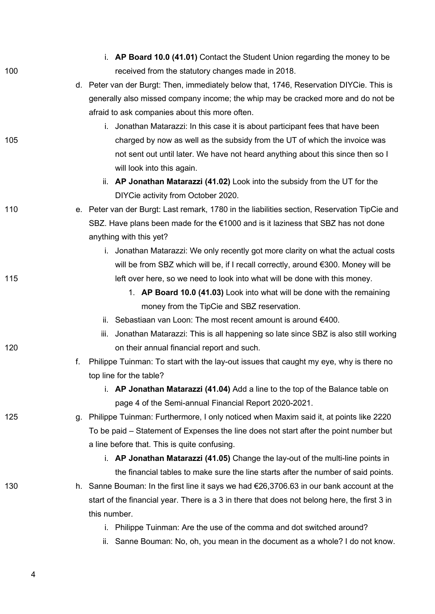|     |    | i. AP Board 10.0 (41.01) Contact the Student Union regarding the money to be                 |
|-----|----|----------------------------------------------------------------------------------------------|
| 100 |    | received from the statutory changes made in 2018.                                            |
|     |    | d. Peter van der Burgt: Then, immediately below that, 1746, Reservation DIYCie. This is      |
|     |    | generally also missed company income; the whip may be cracked more and do not be             |
|     |    | afraid to ask companies about this more often.                                               |
|     |    | i. Jonathan Matarazzi: In this case it is about participant fees that have been              |
| 105 |    | charged by now as well as the subsidy from the UT of which the invoice was                   |
|     |    | not sent out until later. We have not heard anything about this since then so I              |
|     |    | will look into this again.                                                                   |
|     |    | ii. AP Jonathan Matarazzi (41.02) Look into the subsidy from the UT for the                  |
|     |    | DIYCie activity from October 2020.                                                           |
| 110 |    | e. Peter van der Burgt: Last remark, 1780 in the liabilities section, Reservation TipCie and |
|     |    | SBZ. Have plans been made for the €1000 and is it laziness that SBZ has not done             |
|     |    | anything with this yet?                                                                      |
|     |    | i. Jonathan Matarazzi: We only recently got more clarity on what the actual costs            |
|     |    | will be from SBZ which will be, if I recall correctly, around $\epsilon$ 300. Money will be  |
| 115 |    | left over here, so we need to look into what will be done with this money.                   |
|     |    | 1. AP Board 10.0 (41.03) Look into what will be done with the remaining                      |
|     |    | money from the TipCie and SBZ reservation.                                                   |
|     |    | ii. Sebastiaan van Loon: The most recent amount is around $€400$ .                           |
|     |    | iii. Jonathan Matarazzi: This is all happening so late since SBZ is also still working       |
| 120 |    | on their annual financial report and such.                                                   |
|     | f. | Philippe Tuinman: To start with the lay-out issues that caught my eye, why is there no       |
|     |    | top line for the table?                                                                      |
|     |    | i. AP Jonathan Matarazzi (41.04) Add a line to the top of the Balance table on               |
|     |    | page 4 of the Semi-annual Financial Report 2020-2021.                                        |
| 125 | q. | Philippe Tuinman: Furthermore, I only noticed when Maxim said it, at points like 2220        |
|     |    | To be paid – Statement of Expenses the line does not start after the point number but        |
|     |    | a line before that. This is quite confusing.                                                 |
|     |    | i. AP Jonathan Matarazzi (41.05) Change the lay-out of the multi-line points in              |
|     |    | the financial tables to make sure the line starts after the number of said points.           |
| 130 |    | h. Sanne Bouman: In the first line it says we had €26,3706.63 in our bank account at the     |
|     |    | start of the financial year. There is a 3 in there that does not belong here, the first 3 in |
|     |    | this number.                                                                                 |
|     |    | i. Philippe Tuinman: Are the use of the comma and dot switched around?                       |
|     |    | ii. Sanne Bouman: No, oh, you mean in the document as a whole? I do not know.                |
|     |    |                                                                                              |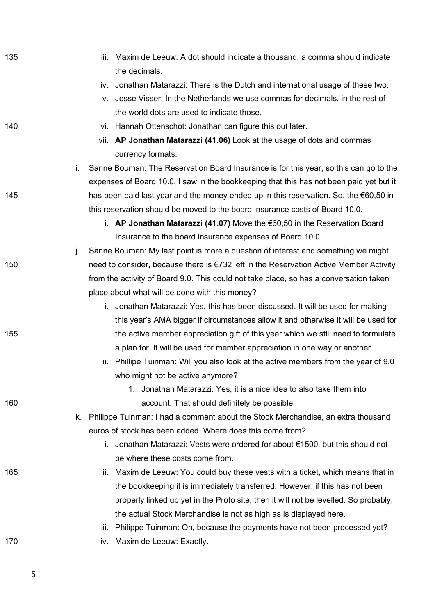| 135 |    | iii. Maxim de Leeuw: A dot should indicate a thousand, a comma should indicate<br>the decimals. |
|-----|----|-------------------------------------------------------------------------------------------------|
|     |    | iv. Jonathan Matarazzi: There is the Dutch and international usage of these two.                |
|     |    | v. Jesse Visser: In the Netherlands we use commas for decimals, in the rest of                  |
|     |    | the world dots are used to indicate those.                                                      |
| 140 |    | vi. Hannah Ottenschot: Jonathan can figure this out later.                                      |
|     |    | vii. AP Jonathan Matarazzi (41.06) Look at the usage of dots and commas                         |
|     |    | currency formats.                                                                               |
|     | i. | Sanne Bouman: The Reservation Board Insurance is for this year, so this can go to the           |
|     |    | expenses of Board 10.0. I saw in the bookkeeping that this has not been paid yet but it         |
| 145 |    | has been paid last year and the money ended up in this reservation. So, the $\epsilon$ 60,50 in |
|     |    | this reservation should be moved to the board insurance costs of Board 10.0.                    |
|     |    | i. AP Jonathan Matarazzi (41.07) Move the $60,50$ in the Reservation Board                      |
|     |    | Insurance to the board insurance expenses of Board 10.0.                                        |
|     | j. | Sanne Bouman: My last point is more a question of interest and something we might               |
| 150 |    | need to consider, because there is €732 left in the Reservation Active Member Activity          |
|     |    | from the activity of Board 9.0. This could not take place, so has a conversation taken          |
|     |    | place about what will be done with this money?                                                  |
|     |    | i. Jonathan Matarazzi: Yes, this has been discussed. It will be used for making                 |
|     |    | this year's AMA bigger if circumstances allow it and otherwise it will be used for              |
| 155 |    | the active member appreciation gift of this year which we still need to formulate               |
|     |    | a plan for. It will be used for member appreciation in one way or another.                      |
|     |    | Phillipe Tuinman: Will you also look at the active members from the year of 9.0<br>ii.          |
|     |    | who might not be active anymore?                                                                |
|     |    | 1. Jonathan Matarazzi: Yes, it is a nice idea to also take them into                            |
| 160 |    | account. That should definitely be possible.                                                    |
|     | k. | Philippe Tuinman: I had a comment about the Stock Merchandise, an extra thousand                |
|     |    | euros of stock has been added. Where does this come from?                                       |
|     |    | i. Jonathan Matarazzi: Vests were ordered for about €1500, but this should not                  |
|     |    | be where these costs come from.                                                                 |
| 165 |    | ii. Maxim de Leeuw: You could buy these vests with a ticket, which means that in                |
|     |    | the bookkeeping it is immediately transferred. However, if this has not been                    |
|     |    | properly linked up yet in the Proto site, then it will not be levelled. So probably,            |
|     |    | the actual Stock Merchandise is not as high as is displayed here.                               |
|     |    | iii. Philippe Tuinman: Oh, because the payments have not been processed yet?                    |
| 170 |    | Maxim de Leeuw: Exactly.<br>IV.                                                                 |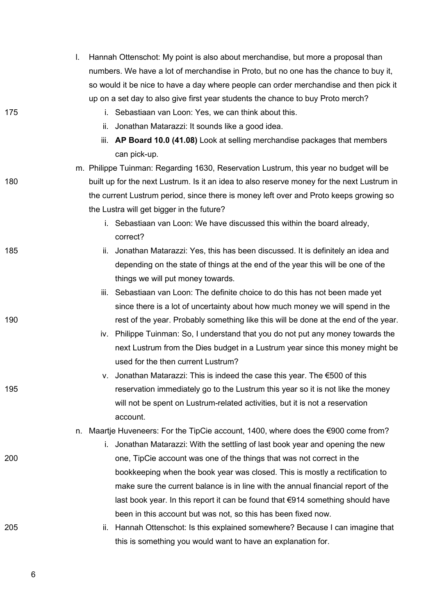|     |    |     | Hannah Ottenschot: My point is also about merchandise, but more a proposal than            |
|-----|----|-----|--------------------------------------------------------------------------------------------|
|     |    |     | numbers. We have a lot of merchandise in Proto, but no one has the chance to buy it,       |
|     |    |     | so would it be nice to have a day where people can order merchandise and then pick it      |
|     |    |     | up on a set day to also give first year students the chance to buy Proto merch?            |
| 175 |    |     | i. Sebastiaan van Loon: Yes, we can think about this.                                      |
|     |    | ii. | Jonathan Matarazzi: It sounds like a good idea.                                            |
|     |    |     | iii. AP Board 10.0 (41.08) Look at selling merchandise packages that members               |
|     |    |     | can pick-up.                                                                               |
|     |    |     | m. Philippe Tuinman: Regarding 1630, Reservation Lustrum, this year no budget will be      |
| 180 |    |     | built up for the next Lustrum. Is it an idea to also reserve money for the next Lustrum in |
|     |    |     | the current Lustrum period, since there is money left over and Proto keeps growing so      |
|     |    |     | the Lustra will get bigger in the future?                                                  |
|     |    |     | i. Sebastiaan van Loon: We have discussed this within the board already,<br>correct?       |
| 185 |    | Ш.  | Jonathan Matarazzi: Yes, this has been discussed. It is definitely an idea and             |
|     |    |     | depending on the state of things at the end of the year this will be one of the            |
|     |    |     | things we will put money towards.                                                          |
|     |    |     | iii. Sebastiaan van Loon: The definite choice to do this has not been made yet             |
|     |    |     | since there is a lot of uncertainty about how much money we will spend in the              |
| 190 |    |     | rest of the year. Probably something like this will be done at the end of the year.        |
|     |    |     | iv. Philippe Tuinman: So, I understand that you do not put any money towards the           |
|     |    |     | next Lustrum from the Dies budget in a Lustrum year since this money might be              |
|     |    |     | used for the then current Lustrum?                                                         |
|     |    | V.  | Jonathan Matarazzi: This is indeed the case this year. The €500 of this                    |
| 195 |    |     | reservation immediately go to the Lustrum this year so it is not like the money            |
|     |    |     | will not be spent on Lustrum-related activities, but it is not a reservation               |
|     |    |     | account.                                                                                   |
|     | n. |     | Maartje Huveneers: For the TipCie account, 1400, where does the $\epsilon$ 900 come from?  |
|     |    | i.  | Jonathan Matarazzi: With the settling of last book year and opening the new                |
| 200 |    |     | one, TipCie account was one of the things that was not correct in the                      |
|     |    |     | bookkeeping when the book year was closed. This is mostly a rectification to               |
|     |    |     | make sure the current balance is in line with the annual financial report of the           |
|     |    |     | last book year. In this report it can be found that €914 something should have             |
|     |    |     | been in this account but was not, so this has been fixed now.                              |
| 205 |    | ii. | Hannah Ottenschot: Is this explained somewhere? Because I can imagine that                 |
|     |    |     | this is something you would want to have an explanation for.                               |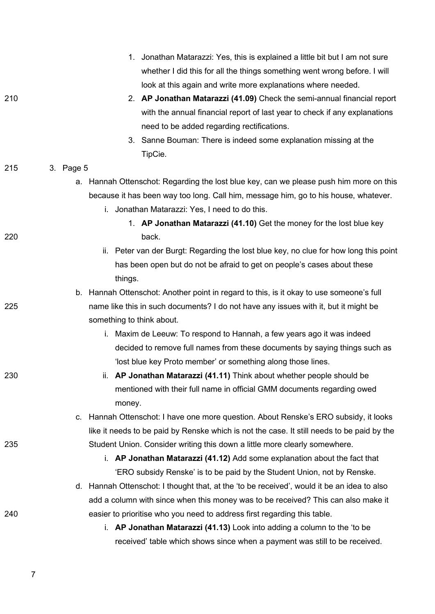|     |           | 1. Jonathan Matarazzi: Yes, this is explained a little bit but I am not sure               |
|-----|-----------|--------------------------------------------------------------------------------------------|
|     |           | whether I did this for all the things something went wrong before. I will                  |
|     |           | look at this again and write more explanations where needed.                               |
| 210 |           | 2. AP Jonathan Matarazzi (41.09) Check the semi-annual financial report                    |
|     |           | with the annual financial report of last year to check if any explanations                 |
|     |           | need to be added regarding rectifications.                                                 |
|     |           | 3. Sanne Bouman: There is indeed some explanation missing at the                           |
|     |           | TipCie.                                                                                    |
| 215 | 3. Page 5 |                                                                                            |
|     |           | a. Hannah Ottenschot: Regarding the lost blue key, can we please push him more on this     |
|     |           | because it has been way too long. Call him, message him, go to his house, whatever.        |
|     |           | i. Jonathan Matarazzi: Yes, I need to do this.                                             |
|     |           | 1. AP Jonathan Matarazzi (41.10) Get the money for the lost blue key                       |
| 220 |           | back.                                                                                      |
|     |           | ii. Peter van der Burgt: Regarding the lost blue key, no clue for how long this point      |
|     |           | has been open but do not be afraid to get on people's cases about these                    |
|     |           | things.                                                                                    |
|     |           | b. Hannah Ottenschot: Another point in regard to this, is it okay to use someone's full    |
| 225 |           | name like this in such documents? I do not have any issues with it, but it might be        |
|     |           | something to think about.                                                                  |
|     |           | i. Maxim de Leeuw: To respond to Hannah, a few years ago it was indeed                     |
|     |           | decided to remove full names from these documents by saying things such as                 |
|     |           | 'lost blue key Proto member' or something along those lines.                               |
| 230 |           | ii. AP Jonathan Matarazzi (41.11) Think about whether people should be                     |
|     |           | mentioned with their full name in official GMM documents regarding owed                    |
|     |           | money.                                                                                     |
|     | c.        | Hannah Ottenschot: I have one more question. About Renske's ERO subsidy, it looks          |
|     |           | like it needs to be paid by Renske which is not the case. It still needs to be paid by the |
| 235 |           | Student Union. Consider writing this down a little more clearly somewhere.                 |
|     |           | i. AP Jonathan Matarazzi (41.12) Add some explanation about the fact that                  |
|     |           | 'ERO subsidy Renske' is to be paid by the Student Union, not by Renske.                    |
|     |           | d. Hannah Ottenschot: I thought that, at the 'to be received', would it be an idea to also |
|     |           | add a column with since when this money was to be received? This can also make it          |
| 240 |           | easier to prioritise who you need to address first regarding this table.                   |
|     |           | i. AP Jonathan Matarazzi (41.13) Look into adding a column to the 'to be                   |
|     |           | received' table which shows since when a payment was still to be received.                 |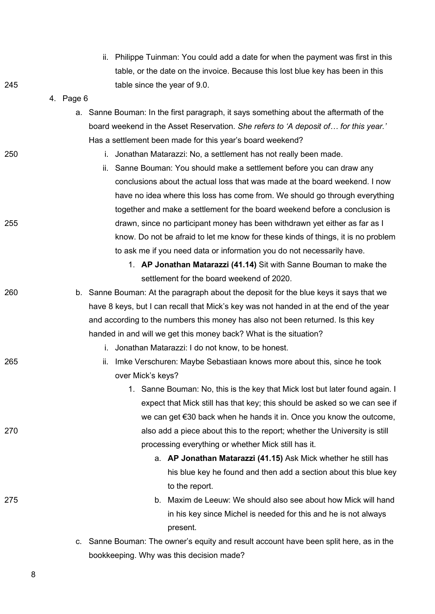|     |           | ii. Philippe Tuinman: You could add a date for when the payment was first in this      |
|-----|-----------|----------------------------------------------------------------------------------------|
|     |           | table, or the date on the invoice. Because this lost blue key has been in this         |
| 245 |           | table since the year of 9.0.                                                           |
|     | 4. Page 6 |                                                                                        |
|     |           | a. Sanne Bouman: In the first paragraph, it says something about the aftermath of the  |
|     |           | board weekend in the Asset Reservation. She refers to 'A deposit of for this year.'    |
|     |           | Has a settlement been made for this year's board weekend?                              |
| 250 |           | Jonathan Matarazzi: No, a settlement has not really been made.<br>i.                   |
|     |           | ii. Sanne Bouman: You should make a settlement before you can draw any                 |
|     |           | conclusions about the actual loss that was made at the board weekend. I now            |
|     |           | have no idea where this loss has come from. We should go through everything            |
|     |           | together and make a settlement for the board weekend before a conclusion is            |
| 255 |           | drawn, since no participant money has been withdrawn yet either as far as I            |
|     |           | know. Do not be afraid to let me know for these kinds of things, it is no problem      |
|     |           | to ask me if you need data or information you do not necessarily have.                 |
|     |           | 1. AP Jonathan Matarazzi (41.14) Sit with Sanne Bouman to make the                     |
|     |           | settlement for the board weekend of 2020.                                              |
| 260 |           | b. Sanne Bouman: At the paragraph about the deposit for the blue keys it says that we  |
|     |           | have 8 keys, but I can recall that Mick's key was not handed in at the end of the year |
|     |           | and according to the numbers this money has also not been returned. Is this key        |
|     |           | handed in and will we get this money back? What is the situation?                      |
|     |           | i. Jonathan Matarazzi: I do not know, to be honest.                                    |
| 265 |           | Imke Verschuren: Maybe Sebastiaan knows more about this, since he took<br>ii.          |
|     |           | over Mick's keys?                                                                      |
|     |           | 1. Sanne Bouman: No, this is the key that Mick lost but later found again. I           |
|     |           | expect that Mick still has that key; this should be asked so we can see if             |
|     |           | we can get $\epsilon$ 30 back when he hands it in. Once you know the outcome,          |
| 270 |           | also add a piece about this to the report; whether the University is still             |
|     |           | processing everything or whether Mick still has it.                                    |
|     |           | a. AP Jonathan Matarazzi (41.15) Ask Mick whether he still has                         |
|     |           | his blue key he found and then add a section about this blue key                       |
|     |           | to the report.                                                                         |
| 275 |           | b. Maxim de Leeuw: We should also see about how Mick will hand                         |
|     |           | in his key since Michel is needed for this and he is not always                        |
|     |           | present.                                                                               |
|     | C.        | Sanne Bouman: The owner's equity and result account have been split here, as in the    |
|     |           | bookkeeping. Why was this decision made?                                               |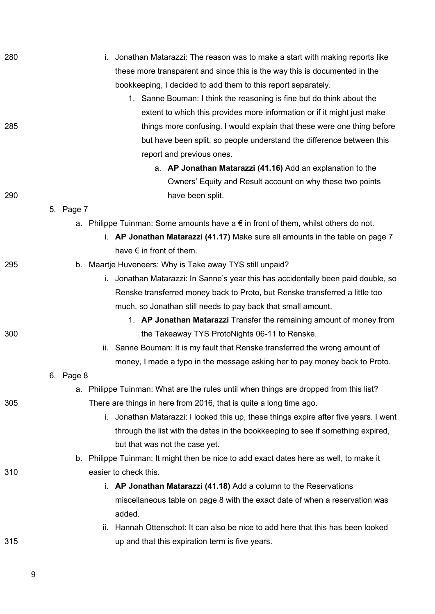| 280 | Jonathan Matarazzi: The reason was to make a start with making reports like                 |
|-----|---------------------------------------------------------------------------------------------|
|     | these more transparent and since this is the way this is documented in the                  |
|     | bookkeeping, I decided to add them to this report separately.                               |
|     | 1. Sanne Bouman: I think the reasoning is fine but do think about the                       |
|     | extent to which this provides more information or if it might just make                     |
| 285 | things more confusing. I would explain that these were one thing before                     |
|     | but have been split, so people understand the difference between this                       |
|     | report and previous ones.                                                                   |
|     | a. AP Jonathan Matarazzi (41.16) Add an explanation to the                                  |
|     | Owners' Equity and Result account on why these two points                                   |
| 290 | have been split.                                                                            |
|     | 5. Page 7                                                                                   |
|     | a. Philippe Tuinman: Some amounts have a $\epsilon$ in front of them, whilst others do not. |
|     | i. AP Jonathan Matarazzi (41.17) Make sure all amounts in the table on page 7               |
|     | have $\epsilon$ in front of them.                                                           |
| 295 | b. Maartje Huveneers: Why is Take away TYS still unpaid?                                    |
|     | i. Jonathan Matarazzi: In Sanne's year this has accidentally been paid double, so           |
|     | Renske transferred money back to Proto, but Renske transferred a little too                 |
|     | much, so Jonathan still needs to pay back that small amount.                                |
|     | 1. AP Jonathan Matarazzi Transfer the remaining amount of money from                        |
| 300 | the Takeaway TYS ProtoNights 06-11 to Renske.                                               |
|     | ii. Sanne Bouman: It is my fault that Renske transferred the wrong amount of                |
|     | money, I made a typo in the message asking her to pay money back to Proto.                  |
|     | 6. Page 8                                                                                   |
|     | a. Philippe Tuinman: What are the rules until when things are dropped from this list?       |
| 305 | There are things in here from 2016, that is quite a long time ago.                          |
|     | i. Jonathan Matarazzi: I looked this up, these things expire after five years. I went       |
|     | through the list with the dates in the bookkeeping to see if something expired,             |
|     | but that was not the case yet.                                                              |
|     | b. Philippe Tuinman: It might then be nice to add exact dates here as well, to make it      |
| 310 | easier to check this.                                                                       |
|     | i. AP Jonathan Matarazzi (41.18) Add a column to the Reservations                           |
|     | miscellaneous table on page 8 with the exact date of when a reservation was                 |
|     | added.                                                                                      |
|     | Hannah Ottenschot: It can also be nice to add here that this has been looked<br>Îİ.         |
| 315 | up and that this expiration term is five years.                                             |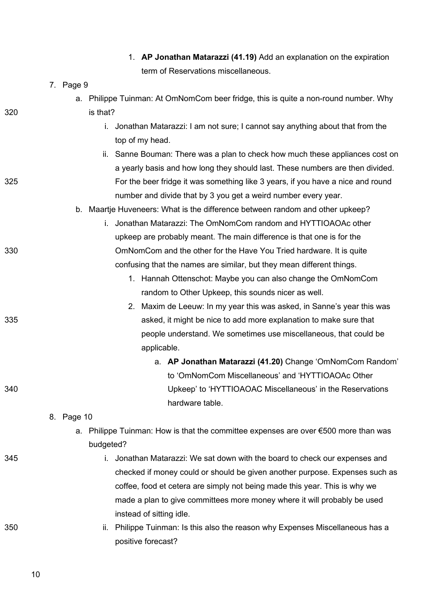|     | 1. AP Jonathan Matarazzi (41.19) Add an explanation on the expiration                            |
|-----|--------------------------------------------------------------------------------------------------|
|     | term of Reservations miscellaneous.                                                              |
|     | 7. Page 9                                                                                        |
|     | a. Philippe Tuinman: At OmNomCom beer fridge, this is quite a non-round number. Why              |
| 320 | is that?                                                                                         |
|     | Jonathan Matarazzi: I am not sure; I cannot say anything about that from the<br>i.               |
|     | top of my head.                                                                                  |
|     | ii. Sanne Bouman: There was a plan to check how much these appliances cost on                    |
|     | a yearly basis and how long they should last. These numbers are then divided.                    |
| 325 | For the beer fridge it was something like 3 years, if you have a nice and round                  |
|     | number and divide that by 3 you get a weird number every year.                                   |
|     | b. Maartje Huveneers: What is the difference between random and other upkeep?                    |
|     | Jonathan Matarazzi: The OmNomCom random and HYTTIOAOAc other<br>i.                               |
|     | upkeep are probably meant. The main difference is that one is for the                            |
| 330 | OmNomCom and the other for the Have You Tried hardware. It is quite                              |
|     | confusing that the names are similar, but they mean different things.                            |
|     | 1. Hannah Ottenschot: Maybe you can also change the OmNomCom                                     |
|     | random to Other Upkeep, this sounds nicer as well.                                               |
|     | 2. Maxim de Leeuw: In my year this was asked, in Sanne's year this was                           |
| 335 | asked, it might be nice to add more explanation to make sure that                                |
|     | people understand. We sometimes use miscellaneous, that could be                                 |
|     | applicable.                                                                                      |
|     | a. AP Jonathan Matarazzi (41.20) Change 'OmNomCom Random'                                        |
|     | to 'OmNomCom Miscellaneous' and 'HYTTIOAOAc Other                                                |
| 340 | Upkeep' to 'HYTTIOAOAC Miscellaneous' in the Reservations                                        |
|     | hardware table.                                                                                  |
|     | 8. Page 10                                                                                       |
|     | a. Philippe Tuinman: How is that the committee expenses are over €500 more than was<br>budgeted? |
| 345 | i. Jonathan Matarazzi: We sat down with the board to check our expenses and                      |
|     | checked if money could or should be given another purpose. Expenses such as                      |
|     | coffee, food et cetera are simply not being made this year. This is why we                       |
|     | made a plan to give committees more money where it will probably be used                         |
|     | instead of sitting idle.                                                                         |
| 350 | ii. Philippe Tuinman: Is this also the reason why Expenses Miscellaneous has a                   |
|     | positive forecast?                                                                               |
|     |                                                                                                  |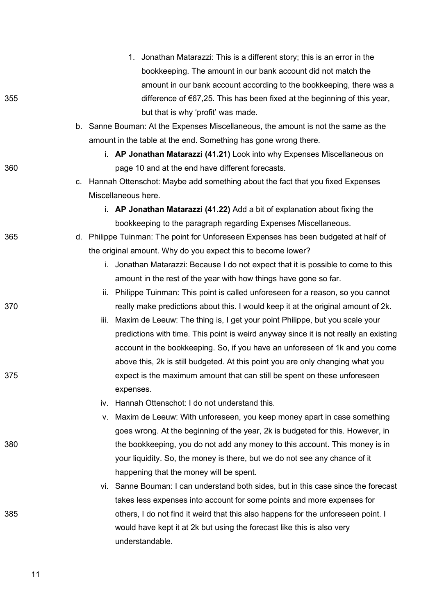|     |    | 1. Jonathan Matarazzi: This is a different story; this is an error in the            |
|-----|----|--------------------------------------------------------------------------------------|
|     |    | bookkeeping. The amount in our bank account did not match the                        |
|     |    | amount in our bank account according to the bookkeeping, there was a                 |
| 355 |    | difference of $67,25$ . This has been fixed at the beginning of this year,           |
|     |    | but that is why 'profit' was made.                                                   |
|     |    | b. Sanne Bouman: At the Expenses Miscellaneous, the amount is not the same as the    |
|     |    | amount in the table at the end. Something has gone wrong there.                      |
|     |    | i. AP Jonathan Matarazzi (41.21) Look into why Expenses Miscellaneous on             |
| 360 |    | page 10 and at the end have different forecasts.                                     |
|     | C. | Hannah Ottenschot: Maybe add something about the fact that you fixed Expenses        |
|     |    | Miscellaneous here.                                                                  |
|     |    | i. AP Jonathan Matarazzi (41.22) Add a bit of explanation about fixing the           |
|     |    | bookkeeping to the paragraph regarding Expenses Miscellaneous.                       |
| 365 |    | d. Philippe Tuinman: The point for Unforeseen Expenses has been budgeted at half of  |
|     |    | the original amount. Why do you expect this to become lower?                         |
|     |    | i. Jonathan Matarazzi: Because I do not expect that it is possible to come to this   |
|     |    | amount in the rest of the year with how things have gone so far.                     |
|     |    | ii. Philippe Tuinman: This point is called unforeseen for a reason, so you cannot    |
| 370 |    | really make predictions about this. I would keep it at the original amount of 2k.    |
|     |    | Maxim de Leeuw: The thing is, I get your point Philippe, but you scale your<br>iii.  |
|     |    | predictions with time. This point is weird anyway since it is not really an existing |
|     |    | account in the bookkeeping. So, if you have an unforeseen of 1k and you come         |
|     |    | above this, 2k is still budgeted. At this point you are only changing what you       |
| 375 |    | expect is the maximum amount that can still be spent on these unforeseen             |
|     |    | expenses.                                                                            |
|     |    | iv. Hannah Ottenschot: I do not understand this.                                     |
|     |    | v. Maxim de Leeuw: With unforeseen, you keep money apart in case something           |
|     |    | goes wrong. At the beginning of the year, 2k is budgeted for this. However, in       |
| 380 |    | the bookkeeping, you do not add any money to this account. This money is in          |
|     |    | your liquidity. So, the money is there, but we do not see any chance of it           |
|     |    | happening that the money will be spent.                                              |
|     |    | vi. Sanne Bouman: I can understand both sides, but in this case since the forecast   |
|     |    | takes less expenses into account for some points and more expenses for               |
| 385 |    | others, I do not find it weird that this also happens for the unforeseen point. I    |
|     |    | would have kept it at 2k but using the forecast like this is also very               |
|     |    | understandable.                                                                      |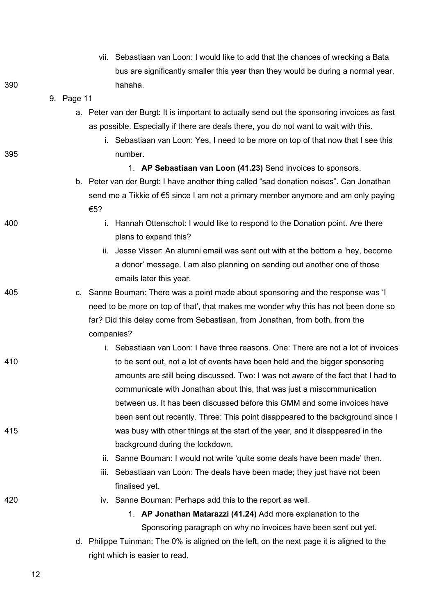|     |            | vii. Sebastiaan van Loon: I would like to add that the chances of wrecking a Bata                                               |
|-----|------------|---------------------------------------------------------------------------------------------------------------------------------|
|     |            | bus are significantly smaller this year than they would be during a normal year,                                                |
| 390 |            | hahaha.                                                                                                                         |
|     | 9. Page 11 |                                                                                                                                 |
|     |            | a. Peter van der Burgt: It is important to actually send out the sponsoring invoices as fast                                    |
|     |            | as possible. Especially if there are deals there, you do not want to wait with this.                                            |
|     |            | i. Sebastiaan van Loon: Yes, I need to be more on top of that now that I see this                                               |
| 395 |            | number.                                                                                                                         |
|     |            | 1. AP Sebastiaan van Loon (41.23) Send invoices to sponsors.                                                                    |
|     |            | b. Peter van der Burgt: I have another thing called "sad donation noises". Can Jonathan                                         |
|     |            | send me a Tikkie of €5 since I am not a primary member anymore and am only paying                                               |
|     |            | €5?                                                                                                                             |
| 400 |            | i. Hannah Ottenschot: I would like to respond to the Donation point. Are there                                                  |
|     |            | plans to expand this?                                                                                                           |
|     |            | ii. Jesse Visser: An alumni email was sent out with at the bottom a 'hey, become                                                |
|     |            | a donor' message. I am also planning on sending out another one of those                                                        |
|     |            | emails later this year.                                                                                                         |
| 405 |            | c. Sanne Bouman: There was a point made about sponsoring and the response was 'l                                                |
|     |            | need to be more on top of that', that makes me wonder why this has not been done so                                             |
|     |            | far? Did this delay come from Sebastiaan, from Jonathan, from both, from the                                                    |
|     |            | companies?                                                                                                                      |
|     |            | i. Sebastiaan van Loon: I have three reasons. One: There are not a lot of invoices                                              |
| 410 |            | to be sent out, not a lot of events have been held and the bigger sponsoring                                                    |
|     |            | amounts are still being discussed. Two: I was not aware of the fact that I had to                                               |
|     |            | communicate with Jonathan about this, that was just a miscommunication                                                          |
|     |            | between us. It has been discussed before this GMM and some invoices have                                                        |
|     |            | been sent out recently. Three: This point disappeared to the background since I                                                 |
| 415 |            | was busy with other things at the start of the year, and it disappeared in the                                                  |
|     |            | background during the lockdown.                                                                                                 |
|     |            | Sanne Bouman: I would not write 'quite some deals have been made' then.<br>ii.                                                  |
|     |            | Sebastiaan van Loon: The deals have been made; they just have not been<br>iii.                                                  |
|     |            | finalised yet.                                                                                                                  |
| 420 |            | iv. Sanne Bouman: Perhaps add this to the report as well.                                                                       |
|     |            | 1. AP Jonathan Matarazzi (41.24) Add more explanation to the<br>Sponsoring paragraph on why no invoices have been sent out yet. |
|     |            |                                                                                                                                 |
|     | d.         | Philippe Tuinman: The 0% is aligned on the left, on the next page it is aligned to the<br>right which is easier to read.        |
|     |            |                                                                                                                                 |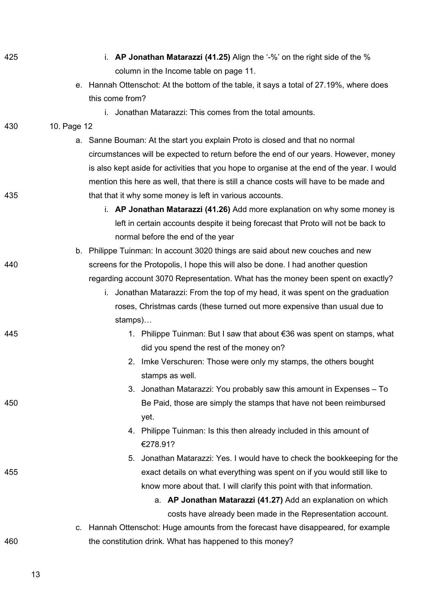| 425 | i. AP Jonathan Matarazzi (41.25) Align the '-%' on the right side of the %                  |
|-----|---------------------------------------------------------------------------------------------|
|     | column in the Income table on page 11.                                                      |
|     | e. Hannah Ottenschot: At the bottom of the table, it says a total of 27.19%, where does     |
|     | this come from?                                                                             |
|     | i. Jonathan Matarazzi: This comes from the total amounts.                                   |
| 430 | 10. Page 12                                                                                 |
|     | a. Sanne Bouman: At the start you explain Proto is closed and that no normal                |
|     | circumstances will be expected to return before the end of our years. However, money        |
|     | is also kept aside for activities that you hope to organise at the end of the year. I would |
|     | mention this here as well, that there is still a chance costs will have to be made and      |
| 435 | that that it why some money is left in various accounts.                                    |
|     | i. AP Jonathan Matarazzi (41.26) Add more explanation on why some money is                  |
|     | left in certain accounts despite it being forecast that Proto will not be back to           |
|     | normal before the end of the year                                                           |
|     | b. Philippe Tuinman: In account 3020 things are said about new couches and new              |
| 440 | screens for the Protopolis, I hope this will also be done. I had another question           |
|     | regarding account 3070 Representation. What has the money been spent on exactly?            |
|     | i. Jonathan Matarazzi: From the top of my head, it was spent on the graduation              |
|     | roses, Christmas cards (these turned out more expensive than usual due to                   |
|     | stamps)                                                                                     |
| 445 | 1. Philippe Tuinman: But I saw that about €36 was spent on stamps, what                     |
|     | did you spend the rest of the money on?                                                     |
|     | 2. Imke Verschuren: Those were only my stamps, the others bought                            |
|     | stamps as well.                                                                             |
|     | 3. Jonathan Matarazzi: You probably saw this amount in Expenses – To                        |
| 450 | Be Paid, those are simply the stamps that have not been reimbursed                          |
|     | yet.                                                                                        |
|     | 4. Philippe Tuinman: Is this then already included in this amount of                        |
|     | €278.91?                                                                                    |
|     | Jonathan Matarazzi: Yes. I would have to check the bookkeeping for the<br>5.                |
| 455 | exact details on what everything was spent on if you would still like to                    |
|     | know more about that. I will clarify this point with that information.                      |
|     | a. AP Jonathan Matarazzi (41.27) Add an explanation on which                                |
|     | costs have already been made in the Representation account.                                 |
|     | Hannah Ottenschot: Huge amounts from the forecast have disappeared, for example<br>c.       |
| 460 | the constitution drink. What has happened to this money?                                    |
|     |                                                                                             |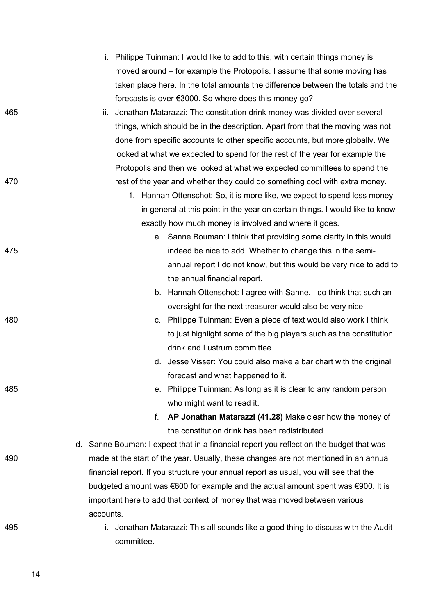- i. Philippe Tuinman: I would like to add to this, with certain things money is moved around – for example the Protopolis. I assume that some moving has taken place here. In the total amounts the difference between the totals and the forecasts is over €3000. So where does this money go?
- 465 ii. Jonathan Matarazzi: The constitution drink money was divided over several things, which should be in the description. Apart from that the moving was not done from specific accounts to other specific accounts, but more globally. We looked at what we expected to spend for the rest of the year for example the Protopolis and then we looked at what we expected committees to spend the 470 **rest of the year and whether they could do something cool with extra money.** 
	- 1. Hannah Ottenschot: So, it is more like, we expect to spend less money in general at this point in the year on certain things. I would like to know exactly how much money is involved and where it goes.
- a. Sanne Bouman: I think that providing some clarity in this would 475 indeed be nice to add. Whether to change this in the semiannual report I do not know, but this would be very nice to add to the annual financial report.
	- b. Hannah Ottenschot: I agree with Sanne. I do think that such an oversight for the next treasurer would also be very nice.
- 480 c. Philippe Tuinman: Even a piece of text would also work I think, to just highlight some of the big players such as the constitution drink and Lustrum committee.
	- d. Jesse Visser: You could also make a bar chart with the original forecast and what happened to it.
- 485 e. Philippe Tuinman: As long as it is clear to any random person who might want to read it.
	- f. **AP Jonathan Matarazzi (41.28)** Make clear how the money of the constitution drink has been redistributed.
- d. Sanne Bouman: I expect that in a financial report you reflect on the budget that was 490 made at the start of the year. Usually, these changes are not mentioned in an annual financial report. If you structure your annual report as usual, you will see that the budgeted amount was €600 for example and the actual amount spent was €900. It is important here to add that context of money that was moved between various accounts.
- 
- 495 i. Jonathan Matarazzi: This all sounds like a good thing to discuss with the Audit committee.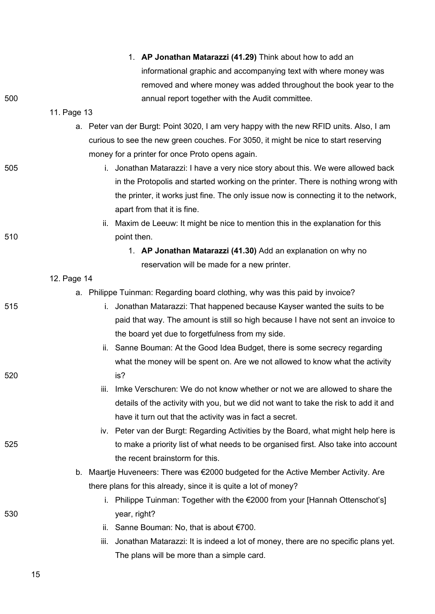|     | 1. AP Jonathan Matarazzi (41.29) Think about how to add an                                 |
|-----|--------------------------------------------------------------------------------------------|
|     | informational graphic and accompanying text with where money was                           |
|     | removed and where money was added throughout the book year to the                          |
| 500 | annual report together with the Audit committee.                                           |
|     | 11. Page 13                                                                                |
|     | Peter van der Burgt: Point 3020, I am very happy with the new RFID units. Also, I am<br>а. |
|     | curious to see the new green couches. For 3050, it might be nice to start reserving        |
|     | money for a printer for once Proto opens again.                                            |
| 505 | i. Jonathan Matarazzi: I have a very nice story about this. We were allowed back           |
|     | in the Protopolis and started working on the printer. There is nothing wrong with          |
|     | the printer, it works just fine. The only issue now is connecting it to the network,       |
|     | apart from that it is fine.                                                                |
|     | ii. Maxim de Leeuw: It might be nice to mention this in the explanation for this           |
| 510 | point then.                                                                                |
|     | 1. AP Jonathan Matarazzi (41.30) Add an explanation on why no                              |
|     | reservation will be made for a new printer.                                                |
|     | 12. Page 14                                                                                |
|     | a. Philippe Tuinman: Regarding board clothing, why was this paid by invoice?               |
| 515 | i. Jonathan Matarazzi: That happened because Kayser wanted the suits to be                 |
|     | paid that way. The amount is still so high because I have not sent an invoice to           |
|     | the board yet due to forgetfulness from my side.                                           |
|     | ii. Sanne Bouman: At the Good Idea Budget, there is some secrecy regarding                 |
|     | what the money will be spent on. Are we not allowed to know what the activity              |
| 520 | is?                                                                                        |
|     | Imke Verschuren: We do not know whether or not we are allowed to share the<br>Ш.           |
|     | details of the activity with you, but we did not want to take the risk to add it and       |
|     | have it turn out that the activity was in fact a secret.                                   |
|     | iv. Peter van der Burgt: Regarding Activities by the Board, what might help here is        |
| 525 | to make a priority list of what needs to be organised first. Also take into account        |
|     | the recent brainstorm for this.                                                            |
|     | Maartje Huveneers: There was €2000 budgeted for the Active Member Activity. Are<br>b.      |
|     | there plans for this already, since it is quite a lot of money?                            |
|     | i. Philippe Tuinman: Together with the €2000 from your [Hannah Ottenschot's]               |
| 530 | year, right?                                                                               |
|     | ii. Sanne Bouman: No, that is about $€700$ .                                               |
|     | Jonathan Matarazzi: It is indeed a lot of money, there are no specific plans yet.<br>iii.  |
|     | The plans will be more than a simple card.                                                 |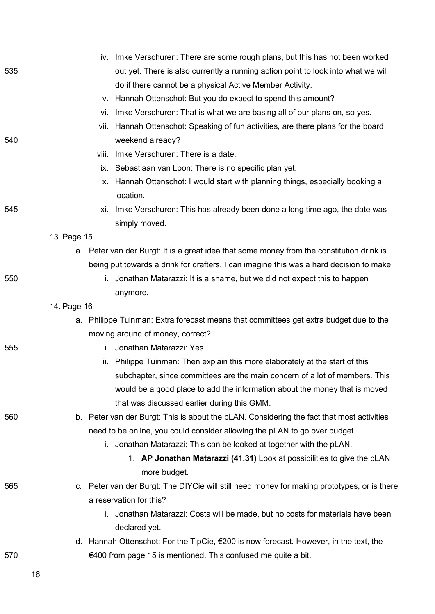|     |             | iv. Imke Verschuren: There are some rough plans, but this has not been worked               |
|-----|-------------|---------------------------------------------------------------------------------------------|
| 535 |             | out yet. There is also currently a running action point to look into what we will           |
|     |             | do if there cannot be a physical Active Member Activity.                                    |
|     |             | v. Hannah Ottenschot: But you do expect to spend this amount?                               |
|     | Vİ.         | Imke Verschuren: That is what we are basing all of our plans on, so yes.                    |
|     | Vİİ.        | Hannah Ottenschot: Speaking of fun activities, are there plans for the board                |
| 540 |             | weekend already?                                                                            |
|     | viii.       | Imke Verschuren: There is a date.                                                           |
|     |             | ix. Sebastiaan van Loon: There is no specific plan yet.                                     |
|     | х.          | Hannah Ottenschot: I would start with planning things, especially booking a                 |
|     |             | location.                                                                                   |
| 545 | XI.         | Imke Verschuren: This has already been done a long time ago, the date was                   |
|     |             | simply moved.                                                                               |
|     | 13. Page 15 |                                                                                             |
|     |             | a. Peter van der Burgt: It is a great idea that some money from the constitution drink is   |
|     |             | being put towards a drink for drafters. I can imagine this was a hard decision to make.     |
| 550 |             | i. Jonathan Matarazzi: It is a shame, but we did not expect this to happen                  |
|     |             | anymore.                                                                                    |
|     | 14. Page 16 |                                                                                             |
|     |             | a. Philippe Tuinman: Extra forecast means that committees get extra budget due to the       |
|     |             | moving around of money, correct?                                                            |
| 555 |             | i. Jonathan Matarazzi: Yes.                                                                 |
|     |             | ii. Philippe Tuinman: Then explain this more elaborately at the start of this               |
|     |             | subchapter, since committees are the main concern of a lot of members. This                 |
|     |             | would be a good place to add the information about the money that is moved                  |
|     |             | that was discussed earlier during this GMM.                                                 |
| 560 |             | b. Peter van der Burgt: This is about the pLAN. Considering the fact that most activities   |
|     |             | need to be online, you could consider allowing the pLAN to go over budget.                  |
|     |             | i. Jonathan Matarazzi: This can be looked at together with the pLAN.                        |
|     |             | 1. AP Jonathan Matarazzi (41.31) Look at possibilities to give the pLAN                     |
|     |             | more budget.                                                                                |
| 565 |             | c. Peter van der Burgt: The DIYCie will still need money for making prototypes, or is there |
|     |             | a reservation for this?                                                                     |
|     |             | i. Jonathan Matarazzi: Costs will be made, but no costs for materials have been             |
|     |             | declared yet.                                                                               |
|     |             | d. Hannah Ottenschot: For the TipCie, €200 is now forecast. However, in the text, the       |
| 570 |             | €400 from page 15 is mentioned. This confused me quite a bit.                               |
|     | 16          |                                                                                             |
|     |             |                                                                                             |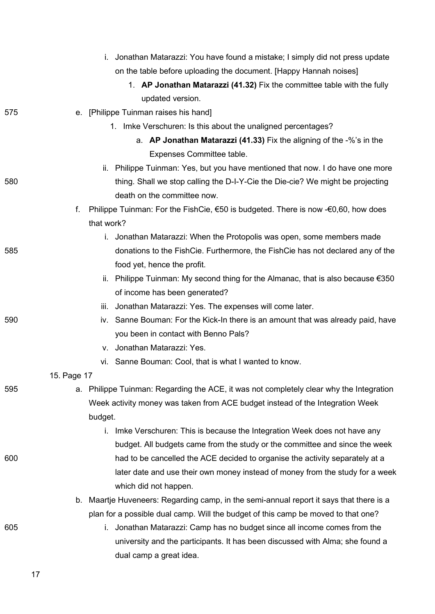|     | i. Jonathan Matarazzi: You have found a mistake; I simply did not press update          |
|-----|-----------------------------------------------------------------------------------------|
|     | on the table before uploading the document. [Happy Hannah noises]                       |
|     | 1. AP Jonathan Matarazzi (41.32) Fix the committee table with the fully                 |
|     | updated version.                                                                        |
| 575 | e. [Philippe Tuinman raises his hand]                                                   |
|     | 1. Imke Verschuren: Is this about the unaligned percentages?                            |
|     | a. AP Jonathan Matarazzi (41.33) Fix the aligning of the -%'s in the                    |
|     | Expenses Committee table.                                                               |
|     | ii. Philippe Tuinman: Yes, but you have mentioned that now. I do have one more          |
| 580 | thing. Shall we stop calling the D-I-Y-Cie the Die-cie? We might be projecting          |
|     | death on the committee now.                                                             |
|     | Philippe Tuinman: For the FishCie, €50 is budgeted. There is now -€0,60, how does<br>f. |
|     | that work?                                                                              |
|     | i. Jonathan Matarazzi: When the Protopolis was open, some members made                  |
| 585 | donations to the FishCie. Furthermore, the FishCie has not declared any of the          |
|     | food yet, hence the profit.                                                             |
|     | ii. Philippe Tuinman: My second thing for the Almanac, that is also because €350        |
|     | of income has been generated?                                                           |
|     | iii. Jonathan Matarazzi: Yes. The expenses will come later.                             |
| 590 | iv. Sanne Bouman: For the Kick-In there is an amount that was already paid, have        |
|     | you been in contact with Benno Pals?                                                    |
|     | v. Jonathan Matarazzi: Yes.                                                             |
|     | vi. Sanne Bouman: Cool, that is what I wanted to know.                                  |
|     | 15. Page 17                                                                             |
| 595 | a. Philippe Tuinman: Regarding the ACE, it was not completely clear why the Integration |
|     | Week activity money was taken from ACE budget instead of the Integration Week           |
|     | budget.                                                                                 |
|     | i. Imke Verschuren: This is because the Integration Week does not have any              |
|     | budget. All budgets came from the study or the committee and since the week             |
| 600 | had to be cancelled the ACE decided to organise the activity separately at a            |
|     | later date and use their own money instead of money from the study for a week           |
|     | which did not happen.                                                                   |
|     | b. Maartje Huveneers: Regarding camp, in the semi-annual report it says that there is a |
|     | plan for a possible dual camp. Will the budget of this camp be moved to that one?       |
| 605 | i. Jonathan Matarazzi: Camp has no budget since all income comes from the               |
|     | university and the participants. It has been discussed with Alma; she found a           |
|     | dual camp a great idea.                                                                 |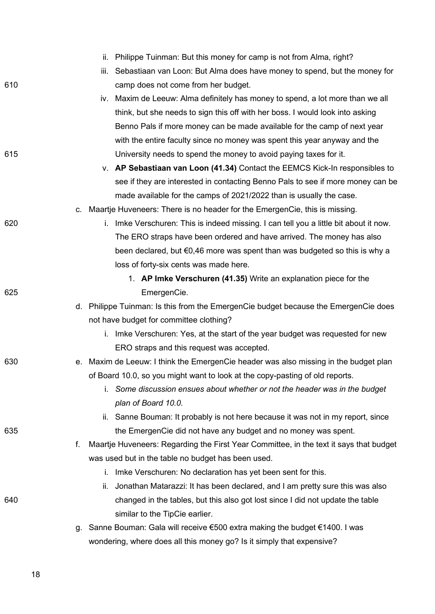|     | ii. Philippe Tuinman: But this money for camp is not from Alma, right?                       |
|-----|----------------------------------------------------------------------------------------------|
|     | Sebastiaan van Loon: But Alma does have money to spend, but the money for<br>iii.            |
| 610 | camp does not come from her budget.                                                          |
|     | iv. Maxim de Leeuw: Alma definitely has money to spend, a lot more than we all               |
|     | think, but she needs to sign this off with her boss. I would look into asking                |
|     | Benno Pals if more money can be made available for the camp of next year                     |
|     | with the entire faculty since no money was spent this year anyway and the                    |
| 615 | University needs to spend the money to avoid paying taxes for it.                            |
|     | v. AP Sebastiaan van Loon (41.34) Contact the EEMCS Kick-In responsibles to                  |
|     | see if they are interested in contacting Benno Pals to see if more money can be              |
|     | made available for the camps of 2021/2022 than is usually the case.                          |
|     | c. Maartje Huveneers: There is no header for the EmergenCie, this is missing.                |
| 620 | i. Imke Verschuren: This is indeed missing. I can tell you a little bit about it now.        |
|     | The ERO straps have been ordered and have arrived. The money has also                        |
|     | been declared, but €0,46 more was spent than was budgeted so this is why a                   |
|     | loss of forty-six cents was made here.                                                       |
|     | 1. AP Imke Verschuren (41.35) Write an explanation piece for the                             |
| 625 | EmergenCie.                                                                                  |
|     | d. Philippe Tuinman: Is this from the EmergenCie budget because the EmergenCie does          |
|     | not have budget for committee clothing?                                                      |
|     | i. Imke Verschuren: Yes, at the start of the year budget was requested for new               |
|     | ERO straps and this request was accepted.                                                    |
| 630 | e. Maxim de Leeuw: I think the EmergenCie header was also missing in the budget plan         |
|     | of Board 10.0, so you might want to look at the copy-pasting of old reports.                 |
|     | Some discussion ensues about whether or not the header was in the budget                     |
|     | plan of Board 10.0.                                                                          |
|     | ii. Sanne Bouman: It probably is not here because it was not in my report, since             |
| 635 | the EmergenCie did not have any budget and no money was spent.                               |
|     | Maartje Huveneers: Regarding the First Year Committee, in the text it says that budget<br>f. |
|     | was used but in the table no budget has been used.                                           |
|     | Imke Verschuren: No declaration has yet been sent for this.<br>i.                            |
|     | ii. Jonathan Matarazzi: It has been declared, and I am pretty sure this was also             |
| 640 | changed in the tables, but this also got lost since I did not update the table               |
|     | similar to the TipCie earlier.                                                               |
|     | Sanne Bouman: Gala will receive €500 extra making the budget €1400. I was<br>g.              |
|     | wondering, where does all this money go? Is it simply that expensive?                        |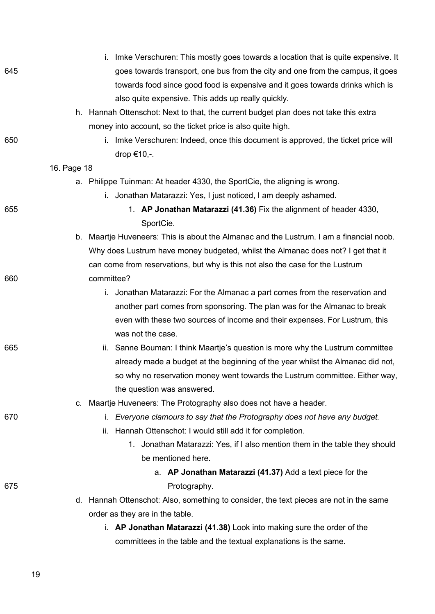|     | i. Imke Verschuren: This mostly goes towards a location that is quite expensive. It     |
|-----|-----------------------------------------------------------------------------------------|
| 645 | goes towards transport, one bus from the city and one from the campus, it goes          |
|     | towards food since good food is expensive and it goes towards drinks which is           |
|     | also quite expensive. This adds up really quickly.                                      |
|     | h. Hannah Ottenschot: Next to that, the current budget plan does not take this extra    |
|     | money into account, so the ticket price is also quite high.                             |
| 650 | i. Imke Verschuren: Indeed, once this document is approved, the ticket price will       |
|     | drop €10,-.                                                                             |
|     | 16. Page 18                                                                             |
|     | a. Philippe Tuinman: At header 4330, the SportCie, the aligning is wrong.               |
|     | i. Jonathan Matarazzi: Yes, I just noticed, I am deeply ashamed.                        |
| 655 | 1. AP Jonathan Matarazzi (41.36) Fix the alignment of header 4330,                      |
|     | SportCie.                                                                               |
|     | b. Maartje Huveneers: This is about the Almanac and the Lustrum. I am a financial noob. |
|     | Why does Lustrum have money budgeted, whilst the Almanac does not? I get that it        |
|     | can come from reservations, but why is this not also the case for the Lustrum           |
| 660 | committee?                                                                              |
|     | i. Jonathan Matarazzi: For the Almanac a part comes from the reservation and            |
|     | another part comes from sponsoring. The plan was for the Almanac to break               |
|     | even with these two sources of income and their expenses. For Lustrum, this             |
|     | was not the case.                                                                       |
| 665 | ii. Sanne Bouman: I think Maartje's question is more why the Lustrum committee          |
|     | already made a budget at the beginning of the year whilst the Almanac did not,          |
|     | so why no reservation money went towards the Lustrum committee. Either way,             |
|     | the question was answered.                                                              |
|     | c. Maartje Huveneers: The Protography also does not have a header.                      |
| 670 | i. Everyone clamours to say that the Protography does not have any budget.              |
|     | Hannah Ottenschot: I would still add it for completion.<br>ii.                          |
|     | 1. Jonathan Matarazzi: Yes, if I also mention them in the table they should             |
|     | be mentioned here.                                                                      |
|     | a. AP Jonathan Matarazzi (41.37) Add a text piece for the                               |
| 675 | Protography.                                                                            |
|     | d. Hannah Ottenschot: Also, something to consider, the text pieces are not in the same  |
|     | order as they are in the table.                                                         |
|     | i. AP Jonathan Matarazzi (41.38) Look into making sure the order of the                 |
|     | committees in the table and the textual explanations is the same.                       |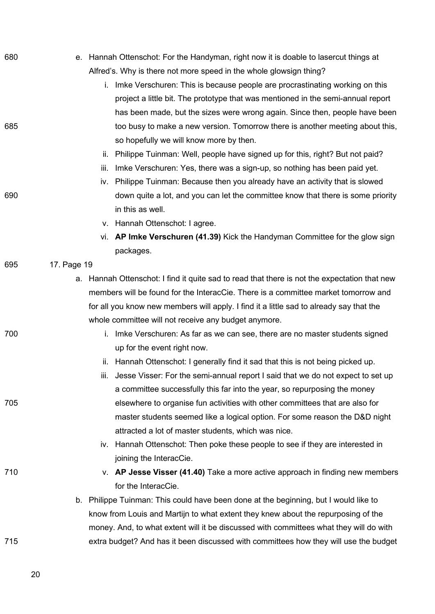| 680 |             | e. Hannah Ottenschot: For the Handyman, right now it is doable to lasercut things at         |
|-----|-------------|----------------------------------------------------------------------------------------------|
|     |             | Alfred's. Why is there not more speed in the whole glowsign thing?                           |
|     |             | i. Imke Verschuren: This is because people are procrastinating working on this               |
|     |             | project a little bit. The prototype that was mentioned in the semi-annual report             |
|     |             | has been made, but the sizes were wrong again. Since then, people have been                  |
| 685 |             | too busy to make a new version. Tomorrow there is another meeting about this,                |
|     |             | so hopefully we will know more by then.                                                      |
|     | ii.         | Philippe Tuinman: Well, people have signed up for this, right? But not paid?                 |
|     | iii.        | Imke Verschuren: Yes, there was a sign-up, so nothing has been paid yet.                     |
|     |             | iv. Philippe Tuinman: Because then you already have an activity that is slowed               |
| 690 |             | down quite a lot, and you can let the committee know that there is some priority             |
|     |             | in this as well.                                                                             |
|     |             | v. Hannah Ottenschot: I agree.                                                               |
|     |             | vi. AP Imke Verschuren (41.39) Kick the Handyman Committee for the glow sign                 |
|     |             | packages.                                                                                    |
| 695 | 17. Page 19 |                                                                                              |
|     |             | a. Hannah Ottenschot: I find it quite sad to read that there is not the expectation that new |
|     |             | members will be found for the InteracCie. There is a committee market tomorrow and           |
|     |             | for all you know new members will apply. I find it a little sad to already say that the      |
|     |             | whole committee will not receive any budget anymore.                                         |
| 700 |             | i. Imke Verschuren: As far as we can see, there are no master students signed                |
|     |             | up for the event right now.                                                                  |
|     |             | ii. Hannah Ottenschot: I generally find it sad that this is not being picked up.             |
|     |             | iii. Jesse Visser: For the semi-annual report I said that we do not expect to set up         |
|     |             | a committee successfully this far into the year, so repurposing the money                    |
| 705 |             | elsewhere to organise fun activities with other committees that are also for                 |
|     |             | master students seemed like a logical option. For some reason the D&D night                  |
|     |             | attracted a lot of master students, which was nice.                                          |
|     |             | iv. Hannah Ottenschot: Then poke these people to see if they are interested in               |
|     |             | joining the InteracCie.                                                                      |
| 710 |             | v. AP Jesse Visser (41.40) Take a more active approach in finding new members                |
|     |             | for the InteracCie.                                                                          |
|     |             | b. Philippe Tuinman: This could have been done at the beginning, but I would like to         |
|     |             | know from Louis and Martijn to what extent they knew about the repurposing of the            |
|     |             | money. And, to what extent will it be discussed with committees what they will do with       |
| 715 |             | extra budget? And has it been discussed with committees how they will use the budget         |
|     |             |                                                                                              |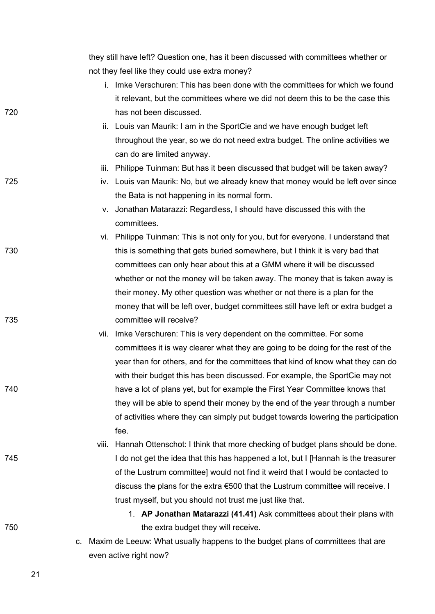|     |       | they still have left? Question one, has it been discussed with committees whether or |
|-----|-------|--------------------------------------------------------------------------------------|
|     |       | not they feel like they could use extra money?                                       |
|     |       | i. Imke Verschuren: This has been done with the committees for which we found        |
|     |       | it relevant, but the committees where we did not deem this to be the case this       |
| 720 |       | has not been discussed.                                                              |
|     |       | ii. Louis van Maurik: I am in the SportCie and we have enough budget left            |
|     |       | throughout the year, so we do not need extra budget. The online activities we        |
|     |       | can do are limited anyway.                                                           |
|     |       | iii. Philippe Tuinman: But has it been discussed that budget will be taken away?     |
| 725 |       | iv. Louis van Maurik: No, but we already knew that money would be left over since    |
|     |       | the Bata is not happening in its normal form.                                        |
|     |       | v. Jonathan Matarazzi: Regardless, I should have discussed this with the             |
|     |       | committees.                                                                          |
|     |       | vi. Philippe Tuinman: This is not only for you, but for everyone. I understand that  |
| 730 |       | this is something that gets buried somewhere, but I think it is very bad that        |
|     |       | committees can only hear about this at a GMM where it will be discussed              |
|     |       | whether or not the money will be taken away. The money that is taken away is         |
|     |       | their money. My other question was whether or not there is a plan for the            |
|     |       | money that will be left over, budget committees still have left or extra budget a    |
| 735 |       | committee will receive?                                                              |
|     |       | vii. Imke Verschuren: This is very dependent on the committee. For some              |
|     |       | committees it is way clearer what they are going to be doing for the rest of the     |
|     |       | year than for others, and for the committees that kind of know what they can do      |
|     |       | with their budget this has been discussed. For example, the SportCie may not         |
| 740 |       | have a lot of plans yet, but for example the First Year Committee knows that         |
|     |       | they will be able to spend their money by the end of the year through a number       |
|     |       | of activities where they can simply put budget towards lowering the participation    |
|     |       | fee.                                                                                 |
|     | viii. | Hannah Ottenschot: I think that more checking of budget plans should be done.        |
| 745 |       | I do not get the idea that this has happened a lot, but I [Hannah is the treasurer   |
|     |       | of the Lustrum committee] would not find it weird that I would be contacted to       |
|     |       | discuss the plans for the extra €500 that the Lustrum committee will receive. I      |
|     |       | trust myself, but you should not trust me just like that.                            |
|     |       | 1. AP Jonathan Matarazzi (41.41) Ask committees about their plans with               |
| 750 |       | the extra budget they will receive.                                                  |
|     | C.    | Maxim de Leeuw: What usually happens to the budget plans of committees that are      |
|     |       | even active right now?                                                               |
|     |       |                                                                                      |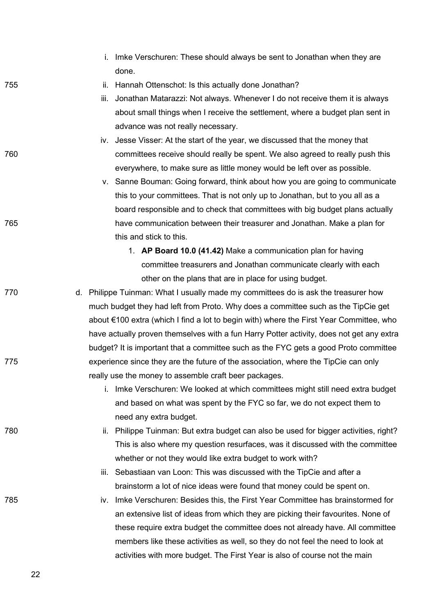- i. Imke Verschuren: These should always be sent to Jonathan when they are done.
- 755 ii. Hannah Ottenschot: Is this actually done Jonathan?
	- iii. Jonathan Matarazzi: Not always. Whenever I do not receive them it is always about small things when I receive the settlement, where a budget plan sent in advance was not really necessary.
- iv. Jesse Visser: At the start of the year, we discussed that the money that 760 committees receive should really be spent. We also agreed to really push this everywhere, to make sure as little money would be left over as possible.
- v. Sanne Bouman: Going forward, think about how you are going to communicate this to your committees. That is not only up to Jonathan, but to you all as a board responsible and to check that committees with big budget plans actually 765 have communication between their treasurer and Jonathan. Make a plan for this and stick to this.
	- 1. **AP Board 10.0 (41.42)** Make a communication plan for having committee treasurers and Jonathan communicate clearly with each other on the plans that are in place for using budget.
- 770 d. Philippe Tuinman: What I usually made my committees do is ask the treasurer how much budget they had left from Proto. Why does a committee such as the TipCie get about €100 extra (which I find a lot to begin with) where the First Year Committee, who have actually proven themselves with a fun Harry Potter activity, does not get any extra budget? It is important that a committee such as the FYC gets a good Proto committee 775 experience since they are the future of the association, where the TipCie can only really use the money to assemble craft beer packages.
	- i. Imke Verschuren: We looked at which committees might still need extra budget and based on what was spent by the FYC so far, we do not expect them to need any extra budget.
- 780 ii. Philippe Tuinman: But extra budget can also be used for bigger activities, right? This is also where my question resurfaces, was it discussed with the committee whether or not they would like extra budget to work with?
	- iii. Sebastiaan van Loon: This was discussed with the TipCie and after a brainstorm a lot of nice ideas were found that money could be spent on.
- 785 iv. Imke Verschuren: Besides this, the First Year Committee has brainstormed for an extensive list of ideas from which they are picking their favourites. None of these require extra budget the committee does not already have. All committee members like these activities as well, so they do not feel the need to look at activities with more budget. The First Year is also of course not the main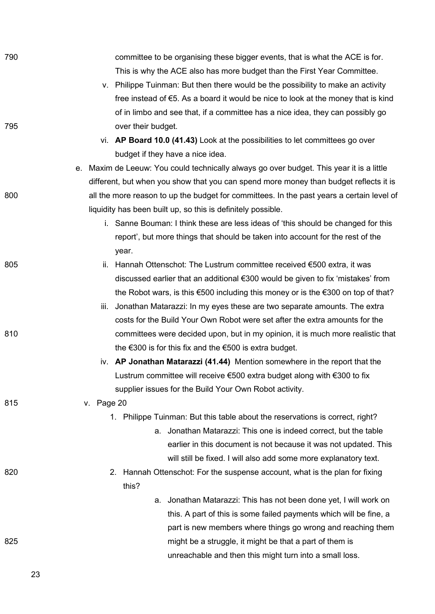| 790 | committee to be organising these bigger events, that is what the ACE is for.                         |
|-----|------------------------------------------------------------------------------------------------------|
|     | This is why the ACE also has more budget than the First Year Committee.                              |
|     | v. Philippe Tuinman: But then there would be the possibility to make an activity                     |
|     | free instead of $\epsilon$ 5. As a board it would be nice to look at the money that is kind          |
|     | of in limbo and see that, if a committee has a nice idea, they can possibly go                       |
| 795 | over their budget.                                                                                   |
|     | vi. AP Board 10.0 (41.43) Look at the possibilities to let committees go over                        |
|     | budget if they have a nice idea.                                                                     |
|     | Maxim de Leeuw: You could technically always go over budget. This year it is a little<br>е.          |
|     | different, but when you show that you can spend more money than budget reflects it is                |
| 800 | all the more reason to up the budget for committees. In the past years a certain level of            |
|     | liquidity has been built up, so this is definitely possible.                                         |
|     | i. Sanne Bouman: I think these are less ideas of 'this should be changed for this                    |
|     | report', but more things that should be taken into account for the rest of the                       |
|     | year.                                                                                                |
| 805 | ii. Hannah Ottenschot: The Lustrum committee received €500 extra, it was                             |
|     | discussed earlier that an additional €300 would be given to fix 'mistakes' from                      |
|     | the Robot wars, is this $\epsilon$ 500 including this money or is the $\epsilon$ 300 on top of that? |
|     | iii. Jonathan Matarazzi: In my eyes these are two separate amounts. The extra                        |
|     | costs for the Build Your Own Robot were set after the extra amounts for the                          |
| 810 | committees were decided upon, but in my opinion, it is much more realistic that                      |
|     | the $\epsilon$ 300 is for this fix and the $\epsilon$ 500 is extra budget.                           |
|     | iv. AP Jonathan Matarazzi (41.44) Mention somewhere in the report that the                           |
|     | Lustrum committee will receive €500 extra budget along with €300 to fix                              |
|     | supplier issues for the Build Your Own Robot activity.                                               |
| 815 | v. Page 20                                                                                           |
|     | Philippe Tuinman: But this table about the reservations is correct, right?<br>1.                     |
|     | a. Jonathan Matarazzi: This one is indeed correct, but the table                                     |
|     | earlier in this document is not because it was not updated. This                                     |
|     | will still be fixed. I will also add some more explanatory text.                                     |
| 820 | Hannah Ottenschot: For the suspense account, what is the plan for fixing<br>2.                       |
|     | this?                                                                                                |
|     | a. Jonathan Matarazzi: This has not been done yet, I will work on                                    |
|     | this. A part of this is some failed payments which will be fine, a                                   |
|     | part is new members where things go wrong and reaching them                                          |
| 825 | might be a struggle, it might be that a part of them is                                              |
|     | unreachable and then this might turn into a small loss.                                              |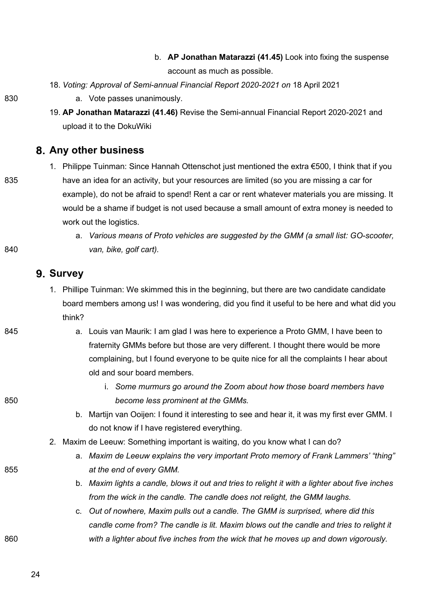- b. **AP Jonathan Matarazzi (41.45)** Look into fixing the suspense account as much as possible.
- 18. *Voting: Approval of Semi-annual Financial Report 2020-2021 on* 18 April 2021

- 830 **a.** Vote passes unanimously.
	- 19. **AP Jonathan Matarazzi (41.46)** Revise the Semi-annual Financial Report 2020-2021 and upload it to the DokuWiki

#### **Any other business**

- 1. Philippe Tuinman: Since Hannah Ottenschot just mentioned the extra €500, I think that if you 835 have an idea for an activity, but your resources are limited (so you are missing a car for example), do not be afraid to spend! Rent a car or rent whatever materials you are missing. It would be a shame if budget is not used because a small amount of extra money is needed to work out the logistics.
- a. *Various means of Proto vehicles are suggested by the GMM (a small list: GO-scooter,*  840 *van, bike, golf cart).*

## **Survey**

- 1. Phillipe Tuinman: We skimmed this in the beginning, but there are two candidate candidate board members among us! I was wondering, did you find it useful to be here and what did you think?
- 845 a. Louis van Maurik: I am glad I was here to experience a Proto GMM, I have been to fraternity GMMs before but those are very different. I thought there would be more complaining, but I found everyone to be quite nice for all the complaints I hear about old and sour board members.
- i. *Some murmurs go around the Zoom about how those board members have*  850 *become less prominent at the GMMs.*
	- b. Martijn van Ooijen: I found it interesting to see and hear it, it was my first ever GMM. I do not know if I have registered everything.
	- 2. Maxim de Leeuw: Something important is waiting, do you know what I can do?
- a. *Maxim de Leeuw explains the very important Proto memory of Frank Lammers' "thing"* 855 *at the end of every GMM.* 
	- b. *Maxim lights a candle, blows it out and tries to relight it with a lighter about five inches from the wick in the candle. The candle does not relight, the GMM laughs.*
- c. *Out of nowhere, Maxim pulls out a candle. The GMM is surprised, where did this candle come from? The candle is lit. Maxim blows out the candle and tries to relight it*  860 *with a lighter about five inches from the wick that he moves up and down vigorously.*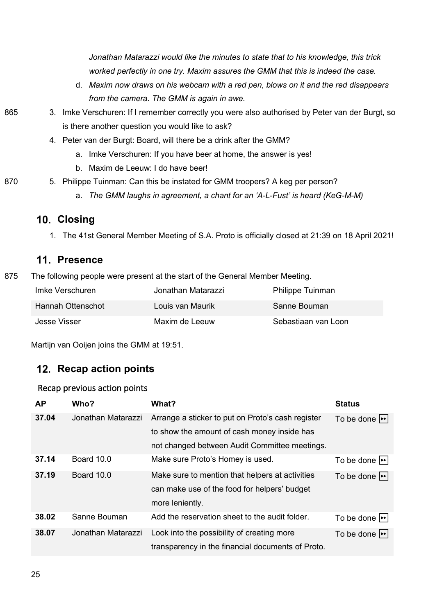*Jonathan Matarazzi would like the minutes to state that to his knowledge, this trick worked perfectly in one try. Maxim assures the GMM that this is indeed the case.*

d. *Maxim now draws on his webcam with a red pen, blows on it and the red disappears from the camera. The GMM is again in awe.* 

- 865 3. Imke Verschuren: If I remember correctly you were also authorised by Peter van der Burgt, so is there another question you would like to ask?
	- 4. Peter van der Burgt: Board, will there be a drink after the GMM?
		- a. Imke Verschuren: If you have beer at home, the answer is yes!
		- b. Maxim de Leeuw: I do have beer!
- 870 5. Philippe Tuinman: Can this be instated for GMM troopers? A keg per person?
	- a. *The GMM laughs in agreement, a chant for an 'A-L-Fust' is heard (KeG-M-M)*

# **Closing**

1. The 41st General Member Meeting of S.A. Proto is officially closed at 21:39 on 18 April 2021!

## **Presence**

875 The following people were present at the start of the General Member Meeting.

| Imke Verschuren   | Jonathan Matarazzi | <b>Philippe Tuinman</b> |
|-------------------|--------------------|-------------------------|
| Hannah Ottenschot | Louis van Maurik   | Sanne Bouman            |
| Jesse Visser      | Maxim de Leeuw     | Sebastiaan van Loon     |

Martijn van Ooijen joins the GMM at 19:51.

## 12. Recap action points

#### Recap previous action points

| <b>AP</b> | Who?               | What?                                             | <b>Status</b>              |
|-----------|--------------------|---------------------------------------------------|----------------------------|
| 37.04     | Jonathan Matarazzi | Arrange a sticker to put on Proto's cash register | To be done $ \rightarrow $ |
|           |                    | to show the amount of cash money inside has       |                            |
|           |                    | not changed between Audit Committee meetings.     |                            |
| 37.14     | <b>Board 10.0</b>  | Make sure Proto's Homey is used.                  | To be done $  \cdot  $     |
| 37.19     | <b>Board 10.0</b>  | Make sure to mention that helpers at activities   | To be done $ \rightarrow $ |
|           |                    | can make use of the food for helpers' budget      |                            |
|           |                    | more leniently.                                   |                            |
| 38.02     | Sanne Bouman       | Add the reservation sheet to the audit folder.    | To be done $ \rightarrow $ |
| 38.07     | Jonathan Matarazzi | Look into the possibility of creating more        | To be done $ \rightarrow $ |
|           |                    | transparency in the financial documents of Proto. |                            |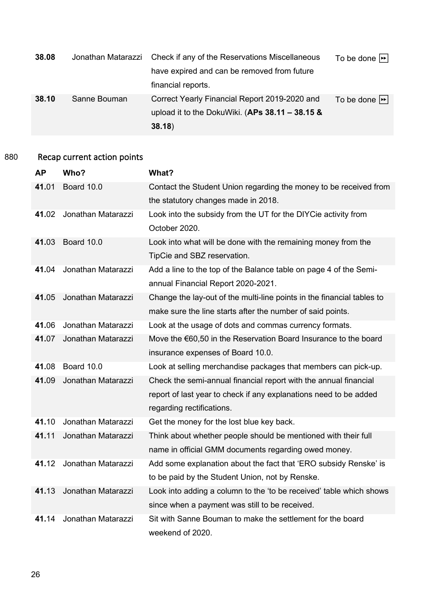| 38.08 | Jonathan Matarazzi | Check if any of the Reservations Miscellaneous    | To be done $\blacktriangleright$ |
|-------|--------------------|---------------------------------------------------|----------------------------------|
|       |                    | have expired and can be removed from future       |                                  |
|       |                    | financial reports.                                |                                  |
| 38.10 | Sanne Bouman       | Correct Yearly Financial Report 2019-2020 and     | To be done $\blacktriangleright$ |
|       |                    | upload it to the DokuWiki. (APs $38.11 - 38.15$ & |                                  |
|       |                    | 38.18)                                            |                                  |

# 880 Recap current action points

| <b>AP</b> | Who?               | What?                                                                  |
|-----------|--------------------|------------------------------------------------------------------------|
| 41.01     | Board 10.0         | Contact the Student Union regarding the money to be received from      |
|           |                    | the statutory changes made in 2018.                                    |
| 41.02     | Jonathan Matarazzi | Look into the subsidy from the UT for the DIYCie activity from         |
|           |                    | October 2020.                                                          |
| 41.03     | Board 10.0         | Look into what will be done with the remaining money from the          |
|           |                    | TipCie and SBZ reservation.                                            |
| 41.04     | Jonathan Matarazzi | Add a line to the top of the Balance table on page 4 of the Semi-      |
|           |                    | annual Financial Report 2020-2021.                                     |
| 41.05     | Jonathan Matarazzi | Change the lay-out of the multi-line points in the financial tables to |
|           |                    | make sure the line starts after the number of said points.             |
| 41.06     | Jonathan Matarazzi | Look at the usage of dots and commas currency formats.                 |
| 41.07     | Jonathan Matarazzi | Move the €60,50 in the Reservation Board Insurance to the board        |
|           |                    | insurance expenses of Board 10.0.                                      |
| 41.08     | Board 10.0         | Look at selling merchandise packages that members can pick-up.         |
| 41.09     | Jonathan Matarazzi | Check the semi-annual financial report with the annual financial       |
|           |                    | report of last year to check if any explanations need to be added      |
|           |                    | regarding rectifications.                                              |
| 41.10     | Jonathan Matarazzi | Get the money for the lost blue key back.                              |
| 41.11     | Jonathan Matarazzi | Think about whether people should be mentioned with their full         |
|           |                    | name in official GMM documents regarding owed money.                   |
| 41.12     | Jonathan Matarazzi | Add some explanation about the fact that 'ERO subsidy Renske' is       |
|           |                    | to be paid by the Student Union, not by Renske.                        |
| 41.13     | Jonathan Matarazzi | Look into adding a column to the 'to be received' table which shows    |
|           |                    | since when a payment was still to be received.                         |
| 41.14     | Jonathan Matarazzi | Sit with Sanne Bouman to make the settlement for the board             |
|           |                    | weekend of 2020.                                                       |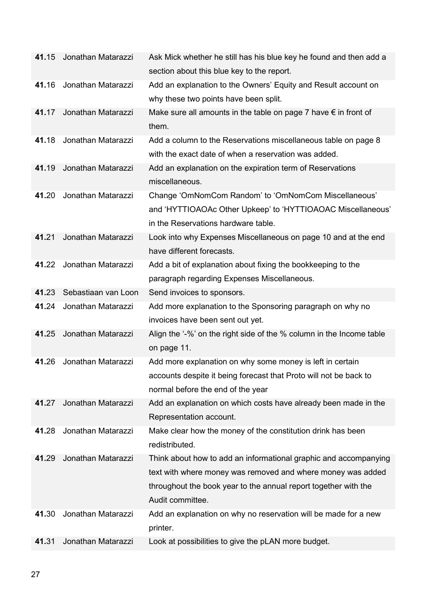| 41.15 | Jonathan Matarazzi  | Ask Mick whether he still has his blue key he found and then add a                |
|-------|---------------------|-----------------------------------------------------------------------------------|
|       |                     | section about this blue key to the report.                                        |
| 41.16 | Jonathan Matarazzi  | Add an explanation to the Owners' Equity and Result account on                    |
|       |                     | why these two points have been split.                                             |
| 41.17 | Jonathan Matarazzi  | Make sure all amounts in the table on page 7 have $\epsilon$ in front of<br>them. |
| 41.18 | Jonathan Matarazzi  | Add a column to the Reservations miscellaneous table on page 8                    |
|       |                     | with the exact date of when a reservation was added.                              |
| 41.19 | Jonathan Matarazzi  | Add an explanation on the expiration term of Reservations<br>miscellaneous.       |
| 41.20 | Jonathan Matarazzi  | Change 'OmNomCom Random' to 'OmNomCom Miscellaneous'                              |
|       |                     | and 'HYTTIOAOAc Other Upkeep' to 'HYTTIOAOAC Miscellaneous'                       |
|       |                     | in the Reservations hardware table.                                               |
| 41.21 | Jonathan Matarazzi  | Look into why Expenses Miscellaneous on page 10 and at the end                    |
|       |                     | have different forecasts.                                                         |
| 41.22 | Jonathan Matarazzi  | Add a bit of explanation about fixing the bookkeeping to the                      |
|       |                     | paragraph regarding Expenses Miscellaneous.                                       |
| 41.23 | Sebastiaan van Loon |                                                                                   |
|       |                     | Send invoices to sponsors.                                                        |
| 41.24 | Jonathan Matarazzi  | Add more explanation to the Sponsoring paragraph on why no                        |
|       |                     | invoices have been sent out yet.                                                  |
| 41.25 | Jonathan Matarazzi  | Align the '-%' on the right side of the % column in the Income table              |
|       |                     | on page 11.                                                                       |
| 41.26 | Jonathan Matarazzi  | Add more explanation on why some money is left in certain                         |
|       |                     | accounts despite it being forecast that Proto will not be back to                 |
|       |                     | normal before the end of the year                                                 |
| 41.27 | Jonathan Matarazzi  | Add an explanation on which costs have already been made in the                   |
|       |                     | Representation account.                                                           |
| 41.28 | Jonathan Matarazzi  | Make clear how the money of the constitution drink has been<br>redistributed.     |
| 41.29 | Jonathan Matarazzi  | Think about how to add an informational graphic and accompanying                  |
|       |                     | text with where money was removed and where money was added                       |
|       |                     | throughout the book year to the annual report together with the                   |
|       |                     | Audit committee.                                                                  |
| 41.30 | Jonathan Matarazzi  | Add an explanation on why no reservation will be made for a new                   |
|       |                     | printer.                                                                          |
| 41.31 | Jonathan Matarazzi  | Look at possibilities to give the pLAN more budget.                               |